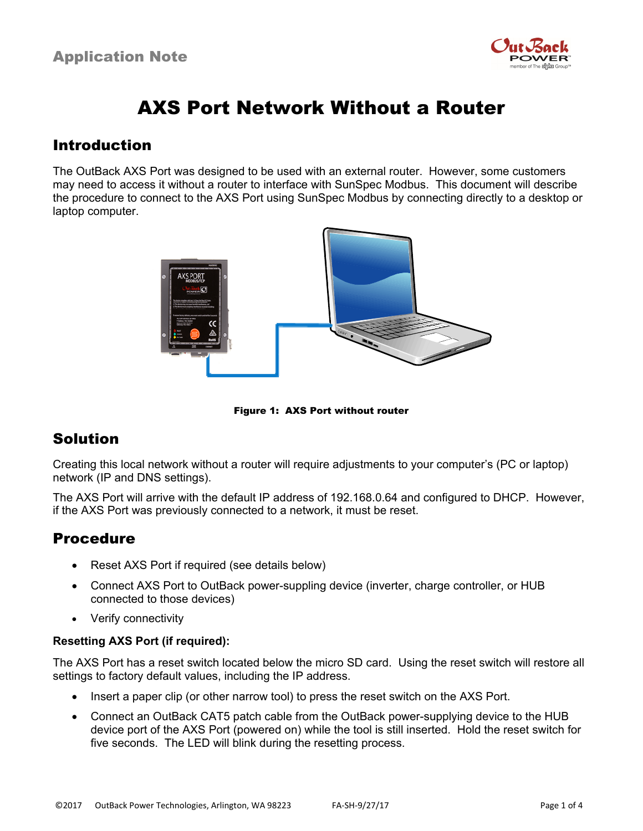

# AXS Port Network Without a Router

### Introduction

The OutBack AXS Port was designed to be used with an external router. However, some customers may need to access it without a router to interface with SunSpec Modbus. This document will describe the procedure to connect to the AXS Port using SunSpec Modbus by connecting directly to a desktop or laptop computer.



Figure 1: AXS Port without router

# Solution

Creating this local network without a router will require adjustments to your computer's (PC or laptop) network (IP and DNS settings).

The AXS Port will arrive with the default IP address of 192.168.0.64 and configured to DHCP. However, if the AXS Port was previously connected to a network, it must be reset.

### Procedure

- Reset AXS Port if required (see details below)
- Connect AXS Port to OutBack power-suppling device (inverter, charge controller, or HUB connected to those devices)
- Verify connectivity

### **Resetting AXS Port (if required):**

The AXS Port has a reset switch located below the micro SD card. Using the reset switch will restore all settings to factory default values, including the IP address.

- Insert a paper clip (or other narrow tool) to press the reset switch on the AXS Port.
- Connect an OutBack CAT5 patch cable from the OutBack power-supplying device to the HUB device port of the AXS Port (powered on) while the tool is still inserted. Hold the reset switch for five seconds. The LED will blink during the resetting process.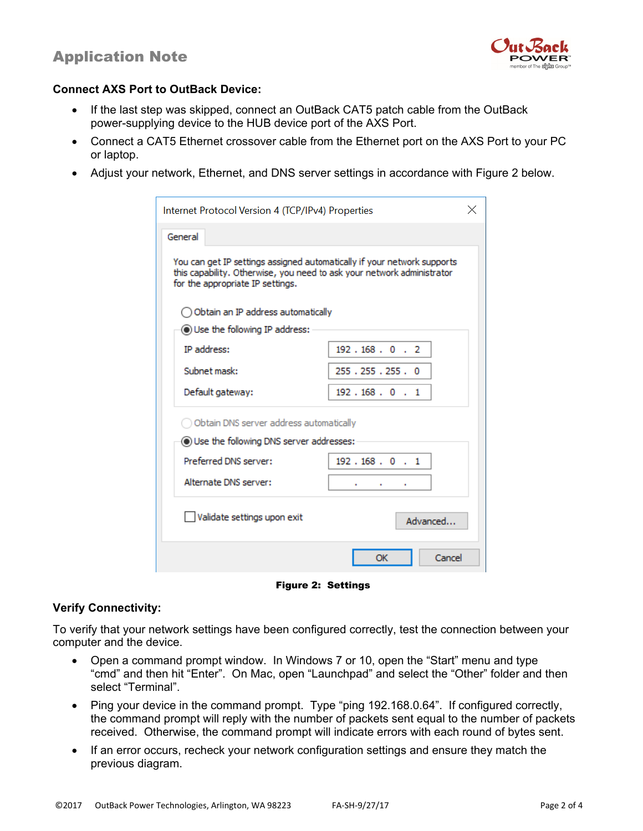# Application Note



### **Connect AXS Port to OutBack Device:**

- If the last step was skipped, connect an OutBack CAT5 patch cable from the OutBack power-supplying device to the HUB device port of the AXS Port.
- Connect a CAT5 Ethernet crossover cable from the Ethernet port on the AXS Port to your PC or laptop.
- Adjust your network, Ethernet, and DNS server settings in accordance with Figure 2 below.

| Internet Protocol Version 4 (TCP/IPv4) Properties                                                                                                                                     |               |  |  |
|---------------------------------------------------------------------------------------------------------------------------------------------------------------------------------------|---------------|--|--|
| General                                                                                                                                                                               |               |  |  |
| You can get IP settings assigned automatically if your network supports<br>this capability. Otherwise, you need to ask your network administrator<br>for the appropriate IP settings. |               |  |  |
| $\bigcirc$ Obtain an IP address automatically                                                                                                                                         |               |  |  |
| <b>O</b> Use the following IP address:                                                                                                                                                |               |  |  |
| IP address:                                                                                                                                                                           | 192.168.0.2   |  |  |
| Subnet mask:                                                                                                                                                                          | 255.255.255.0 |  |  |
| Default gateway:                                                                                                                                                                      | 192.168.0.1   |  |  |
| Obtain DNS server address automatically                                                                                                                                               |               |  |  |
| (.) Use the following DNS server addresses:                                                                                                                                           |               |  |  |
| Preferred DNS server:                                                                                                                                                                 | 192.168.0.1   |  |  |
| Alternate DNS server:                                                                                                                                                                 |               |  |  |
| Validate settings upon exit                                                                                                                                                           | Advanced      |  |  |
|                                                                                                                                                                                       | OK<br>Cancel  |  |  |

Figure 2: Settings

### **Verify Connectivity:**

To verify that your network settings have been configured correctly, test the connection between your computer and the device.

- Open a command prompt window. In Windows 7 or 10, open the "Start" menu and type "cmd" and then hit "Enter". On Mac, open "Launchpad" and select the "Other" folder and then select "Terminal".
- Ping your device in the command prompt. Type "ping 192.168.0.64". If configured correctly, the command prompt will reply with the number of packets sent equal to the number of packets received. Otherwise, the command prompt will indicate errors with each round of bytes sent.
- If an error occurs, recheck your network configuration settings and ensure they match the previous diagram.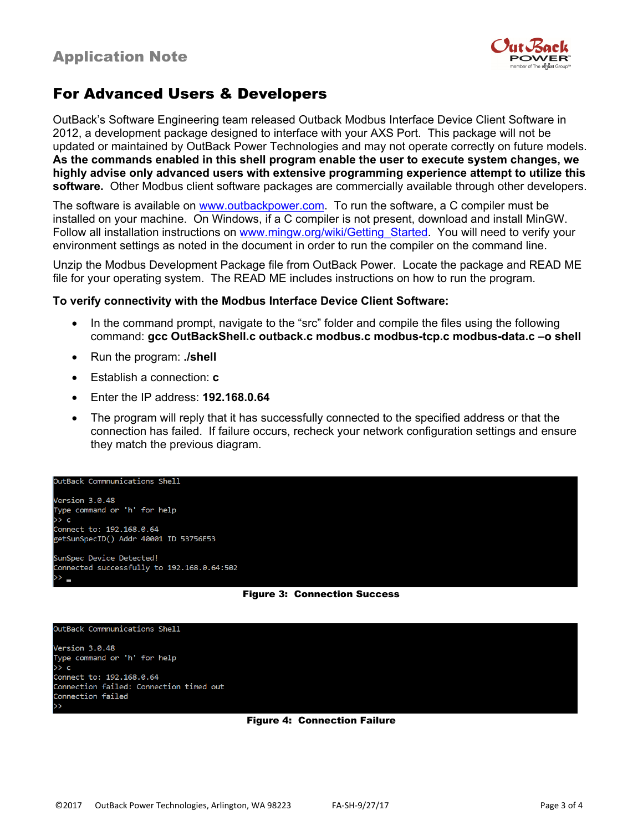

# For Advanced Users & Developers

OutBack's Software Engineering team released Outback Modbus Interface Device Client Software in 2012, a development package designed to interface with your AXS Port. This package will not be updated or maintained by OutBack Power Technologies and may not operate correctly on future models. **As the commands enabled in this shell program enable the user to execute system changes, we highly advise only advanced users with extensive programming experience attempt to utilize this software.** Other Modbus client software packages are commercially available through other developers.

The software is available on www.outbackpower.com. To run the software, a C compiler must be installed on your machine. On Windows, if a C compiler is not present, download and install MinGW. Follow all installation instructions on www.mingw.org/wiki/Getting\_Started. You will need to verify your environment settings as noted in the document in order to run the compiler on the command line.

Unzip the Modbus Development Package file from OutBack Power. Locate the package and READ ME file for your operating system. The READ ME includes instructions on how to run the program.

#### **To verify connectivity with the Modbus Interface Device Client Software:**

- In the command prompt, navigate to the "src" folder and compile the files using the following command: **gcc OutBackShell.c outback.c modbus.c modbus-tcp.c modbus-data.c –o shell**
- Run the program: **./shell**
- Establish a connection: **c**
- Enter the IP address: **192.168.0.64**
- The program will reply that it has successfully connected to the specified address or that the connection has failed. If failure occurs, recheck your network configuration settings and ensure they match the previous diagram.

#### OutBack Commnunications Shell Version 3.0.48 Type command or 'h' for help  $\rightarrow$  c Connect to: 192.168.0.64 getSunSpecID() Addr 40001 ID 53756E53 SunSpec Device Detected! Connected successfully to 192.168.0.64:502 v  $\overline{\phantom{a}}$

#### Figure 3: Connection Success

OutBack Commnunications Shell Version 3.0.48 Type command or 'h' for help  $\gg c$ Connect to: 192.168.0.64 Connection failed: Connection timed out Connection failed

### Figure 4: Connection Failure